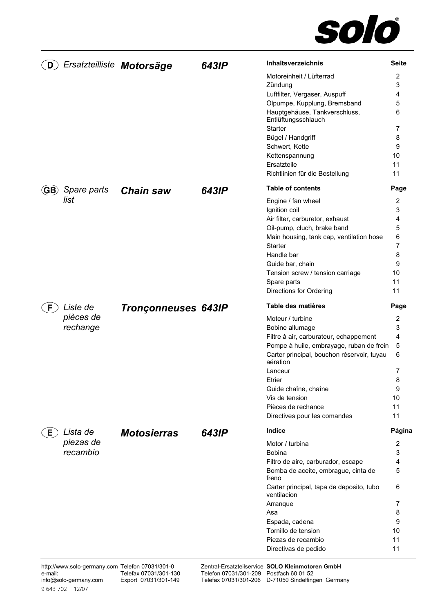

| D   | Ersatzteilliste Motorsäge |                            | 643IP | Inhaltsverzeichnis                                                                     | <b>Seite</b>        |
|-----|---------------------------|----------------------------|-------|----------------------------------------------------------------------------------------|---------------------|
|     |                           |                            |       | Motoreinheit / Lüfterrad                                                               | 2                   |
|     |                           |                            |       | Zündung                                                                                | 3                   |
|     |                           |                            |       | Luftfilter, Vergaser, Auspuff                                                          | 4                   |
|     |                           |                            |       | Ölpumpe, Kupplung, Bremsband                                                           | 5                   |
|     |                           |                            |       | Hauptgehäuse, Tankverschluss,<br>Entlüftungsschlauch                                   | 6                   |
|     |                           |                            |       | Starter                                                                                | 7                   |
|     |                           |                            |       | Bügel / Handgriff                                                                      | 8                   |
|     |                           |                            |       | Schwert, Kette                                                                         | 9                   |
|     |                           |                            |       | Kettenspannung                                                                         | 10                  |
|     |                           |                            |       | Ersatzteile                                                                            | 11                  |
|     |                           |                            |       | Richtlinien für die Bestellung                                                         | 11                  |
| GB) | Spare parts               | <b>Chain saw</b>           | 643IP | <b>Table of contents</b>                                                               | Page                |
|     | list                      |                            |       | Engine / fan wheel                                                                     | 2                   |
|     |                           |                            |       | Ignition coil                                                                          | 3                   |
|     |                           |                            |       | Air filter, carburetor, exhaust                                                        | 4                   |
|     |                           |                            |       | Oil-pump, cluch, brake band                                                            | 5                   |
|     |                           |                            |       | Main housing, tank cap, ventilation hose<br><b>Starter</b>                             | 6<br>7              |
|     |                           |                            |       | Handle bar                                                                             | 8                   |
|     |                           |                            |       | Guide bar, chain                                                                       | 9                   |
|     |                           |                            |       | Tension screw / tension carriage                                                       | 10                  |
|     |                           |                            |       | Spare parts                                                                            | 11                  |
|     |                           |                            |       | Directions for Ordering                                                                | 11                  |
| F.  | Liste de                  | <b>Tronçonneuses 643IP</b> |       | Table des matières                                                                     | Page                |
|     | pièces de                 |                            |       | Moteur / turbine                                                                       | $\overline{2}$      |
|     | rechange                  |                            |       | Bobine allumage                                                                        | 3                   |
|     |                           |                            |       | Filtre à air, carburateur, echappement                                                 | 4                   |
|     |                           |                            |       | Pompe à huile, embrayage, ruban de frein<br>Carter principal, bouchon réservoir, tuyau | 5<br>6              |
|     |                           |                            |       | aération                                                                               |                     |
|     |                           |                            |       | Lanceur                                                                                | 7                   |
|     |                           |                            |       | Etrier                                                                                 | 8                   |
|     |                           |                            |       | Guide chaîne, chaîne                                                                   | 9                   |
|     |                           |                            |       | Vis de tension                                                                         | 10                  |
|     |                           |                            |       | Pièces de rechance<br>Directives pour les comandes                                     | 11<br>11            |
|     |                           |                            |       |                                                                                        |                     |
| E   | Lista de                  | <b>Motosierras</b>         | 643IP | Indice                                                                                 | Página              |
|     | piezas de<br>recambio     |                            |       | Motor / turbina                                                                        | $\overline{2}$<br>3 |
|     |                           |                            |       | <b>Bobina</b><br>Filtro de aire, carburador, escape                                    | 4                   |
|     |                           |                            |       | Bomba de aceite, embrague, cinta de                                                    | 5                   |
|     |                           |                            |       | freno                                                                                  |                     |
|     |                           |                            |       | Carter principal, tapa de deposito, tubo<br>ventilacion                                | 6                   |
|     |                           |                            |       | Arranque                                                                               | 7                   |
|     |                           |                            |       | Asa                                                                                    | 8                   |
|     |                           |                            |       | Espada, cadena                                                                         | 9                   |
|     |                           |                            |       | Tornillo de tension                                                                    | 10                  |
|     |                           |                            |       | Piezas de recambio                                                                     | 11                  |
|     |                           |                            |       | Directivas de pedido                                                                   | 11                  |

Zentral-Ersatzteilservice Telefon 07031/301-209 Telefax 07031/301-206 **SOLO Kleinmotoren GmbH**  Postfach 60 01 52 D-71050 Sindelfingen Germany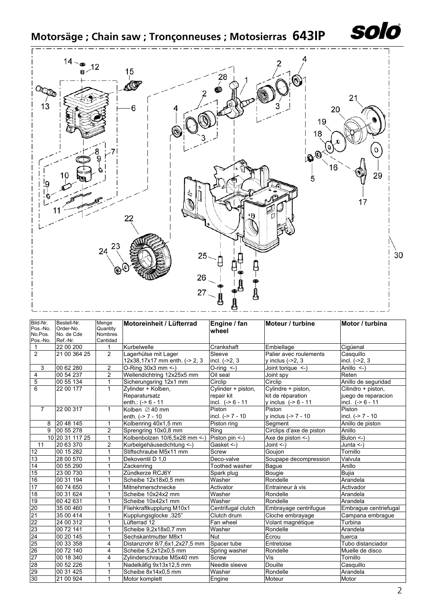

# **Motorsäge ; Chain saw ; Tronçonneuses ; Motosierras 643IP**



| Pos.-No.<br>Cantidad<br>Ref.-Nr.<br>22 00 200<br>Kurbelwelle<br>Ciqüenal<br>1<br>Crankshaft<br>Embiellage<br>$\mathbf{1}$<br>2<br>2<br>21 00 364 25<br>Casquillo<br>Lagerhülse mit Lager<br>Sleeve<br>Palier avec roulements<br>12x38,17x17 mm enth. (-> 2, 3<br>incl. (->2, 3<br>incl. (->2, 3<br>y inclus $(-2, 3)$<br>$\overline{2}$<br>3<br>00 62 280<br>O-Ring 30x3 mm <- )<br>Anillo $\leq$ -)<br>$O-ring <$ )<br>Joint torique <-)<br>$\overline{2}$<br>00 54 237<br>Wellendichtring 12x25x5 mm<br>4<br>Oil seal<br>Reten<br>Joint spy<br>5<br>$\mathbf{1}$<br>Sicherungsring 12x1 mm<br>Circlip<br>Circlip<br>Anillo de seguridad<br>00 55 134<br>6<br>22 00 177<br>$\mathbf{1}$<br>Cylinder + piston,<br>Cylindre + piston,<br>Zylinder + Kolben,<br>Cilindro + piston,<br>Reparatursatz<br>juego de reparacion<br>repair kit<br>kit de réparation<br>incl. $(-86 - 11)$<br>incl. $(-86 - 11)$<br>enth.: $(-56 - 11)$<br>y inclus $(-56 - 11)$<br>$\overline{7}$<br>22 00 317<br>$\mathbf{1}$<br>Piston<br>Piston<br>Piston<br>Kolben $\varnothing$ 40 mm<br>incl. $(-27 - 10)$<br>y inclus (-> 7 - 10<br>incl. (-> 7 - 10<br>enth. $(-2) - 7 - 10$<br>Kolbenring 40x1,5 mm<br>Piston ring<br>20 48 145<br>$\mathbf{1}$<br>Segment<br>Anillo de piston<br>8<br>00 55 278<br>$\overline{2}$<br>Anillo<br>9<br>Sprengring 10x0,8 mm<br>Circlips d'axe de piston<br>Ring<br>Piston pin <- )<br>10 20 31 117 25<br>Kolbenbolzen 10/6.5x28 mm <- )<br>Bulon $\leq$ -)<br>$\mathbf 1$<br>Axe de piston $\le$ -)<br>$\overline{2}$<br>20 63 370<br>11<br>Kurbelgehäusedichtung <-)<br>Gasket <-)<br>Joint $\leq$ -)<br>Junta <-)<br>$\mathbf{1}$<br>12<br>00 15 282<br>Stiftschraube M5x11 mm<br>Tornillo<br>Screw<br>Goujon<br>13<br>28 00 570<br>$\mathbf{1}$<br>Dekoventil D 1.0<br>Deco-valve<br>Valvula<br>Soupape decompression<br>14<br>Anillo<br>00 55 290<br>$\mathbf{1}$<br>Toothed washer<br>Zackenring<br>Bague<br>15<br>23 00 730<br>Zündkerze RCJ6Y<br>$\mathbf{1}$<br>Bujia<br>Bougie<br>Spark plug<br>16<br>Arandela<br>00 31 194<br>$\mathbf{1}$<br>Scheibe 12x18x0,5 mm<br>Rondelle<br>Washer<br>17<br>60 74 650<br>1<br>Activator<br>Activador<br>Mitnehmerschnecke<br>Entraineur à vis<br>18<br>00 31 624<br>$\mathbf{1}$<br>Washer<br>Scheibe 10x24x2 mm<br>Rondelle<br>Arandela<br>19<br>60 42 631<br>$\mathbf{1}$<br>Scheibe 10x42x1 mm<br>Washer<br>Rondelle<br>Arandela<br>20<br>35 00 460<br>$\mathbf{1}$<br>Fliehkraftkupplung M10x1<br>Centrifugal clutch<br>Embrayage centrifugue<br>Embrague centriefugal<br>$\overline{21}$<br>35 00 414<br>$\mathbf{1}$<br>Kupplungsglocke .325"<br>Clutch drum<br>Cloche embrayage<br>Campana embrague<br>22<br>24 00 312<br>$\mathbf{1}$<br>Lüfterrad 12<br>Turbina<br>Volant magnétique<br>Fan wheel<br>23<br>00 72 141<br>$\mathbf{1}$<br>Scheibe 9,2x18x0,7 mm<br>Rondelle<br>Arandela<br>Washer<br>24<br>Écrou<br>$\mathbf{1}$<br>Nut<br>00 20 145<br>Sechskantmutter M8x1<br>tuerca<br>25<br>Spacer tube<br>Tubo distanciador<br>00 33 358<br>4<br>Distanzrohr 8/7,6x1,2x27,5 mm<br>Entretoise<br>26<br>00 72 140<br>Scheibe 5,2x12x0,5 mm<br>Rondelle<br>4<br>Muelle de disco<br>Spring washer<br>$\overline{27}$<br>Tornillo<br>00 18 340<br>4<br>Zylinderschraube M5x40 mm<br>Screw<br>Vis<br>28<br>00 52 226<br>Nadelkäfig 9x13x12,5 mm<br>Douille<br>$\mathbf{1}$<br>Needle sleeve<br>Casquillo<br>29<br>Rondelle<br>Arandela<br>00 31 425<br>Scheibe 8x14x0,5 mm<br>Washer<br>1<br>30<br>21 00 924<br>$\mathbf{1}$<br>Motor komplett<br>Moteur<br>Motor<br>Engine | Bild-Nr.<br>Pos.-No. | Bestell-Nr.<br>Order-No. | Menge<br>Quantity | Motoreinheit / Lüfterrad | Engine / fan<br>wheel | Moteur / turbine | Motor / turbina |
|--------------------------------------------------------------------------------------------------------------------------------------------------------------------------------------------------------------------------------------------------------------------------------------------------------------------------------------------------------------------------------------------------------------------------------------------------------------------------------------------------------------------------------------------------------------------------------------------------------------------------------------------------------------------------------------------------------------------------------------------------------------------------------------------------------------------------------------------------------------------------------------------------------------------------------------------------------------------------------------------------------------------------------------------------------------------------------------------------------------------------------------------------------------------------------------------------------------------------------------------------------------------------------------------------------------------------------------------------------------------------------------------------------------------------------------------------------------------------------------------------------------------------------------------------------------------------------------------------------------------------------------------------------------------------------------------------------------------------------------------------------------------------------------------------------------------------------------------------------------------------------------------------------------------------------------------------------------------------------------------------------------------------------------------------------------------------------------------------------------------------------------------------------------------------------------------------------------------------------------------------------------------------------------------------------------------------------------------------------------------------------------------------------------------------------------------------------------------------------------------------------------------------------------------------------------------------------------------------------------------------------------------------------------------------------------------------------------------------------------------------------------------------------------------------------------------------------------------------------------------------------------------------------------------------------------------------------------------------------------------------------------------------------------------------------------------------------------------------------------------------------------------------------------------------------------------------------------------------------------------------------------------------------------------------------------------------------------------------------------------------------------------------------------------------------------------------------------------------------------------------------------------------------------------------|----------------------|--------------------------|-------------------|--------------------------|-----------------------|------------------|-----------------|
|                                                                                                                                                                                                                                                                                                                                                                                                                                                                                                                                                                                                                                                                                                                                                                                                                                                                                                                                                                                                                                                                                                                                                                                                                                                                                                                                                                                                                                                                                                                                                                                                                                                                                                                                                                                                                                                                                                                                                                                                                                                                                                                                                                                                                                                                                                                                                                                                                                                                                                                                                                                                                                                                                                                                                                                                                                                                                                                                                                                                                                                                                                                                                                                                                                                                                                                                                                                                                                                                                                                                                  | No.Pos.              | No. de Cde               | <b>Nombres</b>    |                          |                       |                  |                 |
|                                                                                                                                                                                                                                                                                                                                                                                                                                                                                                                                                                                                                                                                                                                                                                                                                                                                                                                                                                                                                                                                                                                                                                                                                                                                                                                                                                                                                                                                                                                                                                                                                                                                                                                                                                                                                                                                                                                                                                                                                                                                                                                                                                                                                                                                                                                                                                                                                                                                                                                                                                                                                                                                                                                                                                                                                                                                                                                                                                                                                                                                                                                                                                                                                                                                                                                                                                                                                                                                                                                                                  |                      |                          |                   |                          |                       |                  |                 |
|                                                                                                                                                                                                                                                                                                                                                                                                                                                                                                                                                                                                                                                                                                                                                                                                                                                                                                                                                                                                                                                                                                                                                                                                                                                                                                                                                                                                                                                                                                                                                                                                                                                                                                                                                                                                                                                                                                                                                                                                                                                                                                                                                                                                                                                                                                                                                                                                                                                                                                                                                                                                                                                                                                                                                                                                                                                                                                                                                                                                                                                                                                                                                                                                                                                                                                                                                                                                                                                                                                                                                  |                      |                          |                   |                          |                       |                  |                 |
|                                                                                                                                                                                                                                                                                                                                                                                                                                                                                                                                                                                                                                                                                                                                                                                                                                                                                                                                                                                                                                                                                                                                                                                                                                                                                                                                                                                                                                                                                                                                                                                                                                                                                                                                                                                                                                                                                                                                                                                                                                                                                                                                                                                                                                                                                                                                                                                                                                                                                                                                                                                                                                                                                                                                                                                                                                                                                                                                                                                                                                                                                                                                                                                                                                                                                                                                                                                                                                                                                                                                                  |                      |                          |                   |                          |                       |                  |                 |
|                                                                                                                                                                                                                                                                                                                                                                                                                                                                                                                                                                                                                                                                                                                                                                                                                                                                                                                                                                                                                                                                                                                                                                                                                                                                                                                                                                                                                                                                                                                                                                                                                                                                                                                                                                                                                                                                                                                                                                                                                                                                                                                                                                                                                                                                                                                                                                                                                                                                                                                                                                                                                                                                                                                                                                                                                                                                                                                                                                                                                                                                                                                                                                                                                                                                                                                                                                                                                                                                                                                                                  |                      |                          |                   |                          |                       |                  |                 |
|                                                                                                                                                                                                                                                                                                                                                                                                                                                                                                                                                                                                                                                                                                                                                                                                                                                                                                                                                                                                                                                                                                                                                                                                                                                                                                                                                                                                                                                                                                                                                                                                                                                                                                                                                                                                                                                                                                                                                                                                                                                                                                                                                                                                                                                                                                                                                                                                                                                                                                                                                                                                                                                                                                                                                                                                                                                                                                                                                                                                                                                                                                                                                                                                                                                                                                                                                                                                                                                                                                                                                  |                      |                          |                   |                          |                       |                  |                 |
|                                                                                                                                                                                                                                                                                                                                                                                                                                                                                                                                                                                                                                                                                                                                                                                                                                                                                                                                                                                                                                                                                                                                                                                                                                                                                                                                                                                                                                                                                                                                                                                                                                                                                                                                                                                                                                                                                                                                                                                                                                                                                                                                                                                                                                                                                                                                                                                                                                                                                                                                                                                                                                                                                                                                                                                                                                                                                                                                                                                                                                                                                                                                                                                                                                                                                                                                                                                                                                                                                                                                                  |                      |                          |                   |                          |                       |                  |                 |
|                                                                                                                                                                                                                                                                                                                                                                                                                                                                                                                                                                                                                                                                                                                                                                                                                                                                                                                                                                                                                                                                                                                                                                                                                                                                                                                                                                                                                                                                                                                                                                                                                                                                                                                                                                                                                                                                                                                                                                                                                                                                                                                                                                                                                                                                                                                                                                                                                                                                                                                                                                                                                                                                                                                                                                                                                                                                                                                                                                                                                                                                                                                                                                                                                                                                                                                                                                                                                                                                                                                                                  |                      |                          |                   |                          |                       |                  |                 |
|                                                                                                                                                                                                                                                                                                                                                                                                                                                                                                                                                                                                                                                                                                                                                                                                                                                                                                                                                                                                                                                                                                                                                                                                                                                                                                                                                                                                                                                                                                                                                                                                                                                                                                                                                                                                                                                                                                                                                                                                                                                                                                                                                                                                                                                                                                                                                                                                                                                                                                                                                                                                                                                                                                                                                                                                                                                                                                                                                                                                                                                                                                                                                                                                                                                                                                                                                                                                                                                                                                                                                  |                      |                          |                   |                          |                       |                  |                 |
|                                                                                                                                                                                                                                                                                                                                                                                                                                                                                                                                                                                                                                                                                                                                                                                                                                                                                                                                                                                                                                                                                                                                                                                                                                                                                                                                                                                                                                                                                                                                                                                                                                                                                                                                                                                                                                                                                                                                                                                                                                                                                                                                                                                                                                                                                                                                                                                                                                                                                                                                                                                                                                                                                                                                                                                                                                                                                                                                                                                                                                                                                                                                                                                                                                                                                                                                                                                                                                                                                                                                                  |                      |                          |                   |                          |                       |                  |                 |
|                                                                                                                                                                                                                                                                                                                                                                                                                                                                                                                                                                                                                                                                                                                                                                                                                                                                                                                                                                                                                                                                                                                                                                                                                                                                                                                                                                                                                                                                                                                                                                                                                                                                                                                                                                                                                                                                                                                                                                                                                                                                                                                                                                                                                                                                                                                                                                                                                                                                                                                                                                                                                                                                                                                                                                                                                                                                                                                                                                                                                                                                                                                                                                                                                                                                                                                                                                                                                                                                                                                                                  |                      |                          |                   |                          |                       |                  |                 |
|                                                                                                                                                                                                                                                                                                                                                                                                                                                                                                                                                                                                                                                                                                                                                                                                                                                                                                                                                                                                                                                                                                                                                                                                                                                                                                                                                                                                                                                                                                                                                                                                                                                                                                                                                                                                                                                                                                                                                                                                                                                                                                                                                                                                                                                                                                                                                                                                                                                                                                                                                                                                                                                                                                                                                                                                                                                                                                                                                                                                                                                                                                                                                                                                                                                                                                                                                                                                                                                                                                                                                  |                      |                          |                   |                          |                       |                  |                 |
|                                                                                                                                                                                                                                                                                                                                                                                                                                                                                                                                                                                                                                                                                                                                                                                                                                                                                                                                                                                                                                                                                                                                                                                                                                                                                                                                                                                                                                                                                                                                                                                                                                                                                                                                                                                                                                                                                                                                                                                                                                                                                                                                                                                                                                                                                                                                                                                                                                                                                                                                                                                                                                                                                                                                                                                                                                                                                                                                                                                                                                                                                                                                                                                                                                                                                                                                                                                                                                                                                                                                                  |                      |                          |                   |                          |                       |                  |                 |
|                                                                                                                                                                                                                                                                                                                                                                                                                                                                                                                                                                                                                                                                                                                                                                                                                                                                                                                                                                                                                                                                                                                                                                                                                                                                                                                                                                                                                                                                                                                                                                                                                                                                                                                                                                                                                                                                                                                                                                                                                                                                                                                                                                                                                                                                                                                                                                                                                                                                                                                                                                                                                                                                                                                                                                                                                                                                                                                                                                                                                                                                                                                                                                                                                                                                                                                                                                                                                                                                                                                                                  |                      |                          |                   |                          |                       |                  |                 |
|                                                                                                                                                                                                                                                                                                                                                                                                                                                                                                                                                                                                                                                                                                                                                                                                                                                                                                                                                                                                                                                                                                                                                                                                                                                                                                                                                                                                                                                                                                                                                                                                                                                                                                                                                                                                                                                                                                                                                                                                                                                                                                                                                                                                                                                                                                                                                                                                                                                                                                                                                                                                                                                                                                                                                                                                                                                                                                                                                                                                                                                                                                                                                                                                                                                                                                                                                                                                                                                                                                                                                  |                      |                          |                   |                          |                       |                  |                 |
|                                                                                                                                                                                                                                                                                                                                                                                                                                                                                                                                                                                                                                                                                                                                                                                                                                                                                                                                                                                                                                                                                                                                                                                                                                                                                                                                                                                                                                                                                                                                                                                                                                                                                                                                                                                                                                                                                                                                                                                                                                                                                                                                                                                                                                                                                                                                                                                                                                                                                                                                                                                                                                                                                                                                                                                                                                                                                                                                                                                                                                                                                                                                                                                                                                                                                                                                                                                                                                                                                                                                                  |                      |                          |                   |                          |                       |                  |                 |
|                                                                                                                                                                                                                                                                                                                                                                                                                                                                                                                                                                                                                                                                                                                                                                                                                                                                                                                                                                                                                                                                                                                                                                                                                                                                                                                                                                                                                                                                                                                                                                                                                                                                                                                                                                                                                                                                                                                                                                                                                                                                                                                                                                                                                                                                                                                                                                                                                                                                                                                                                                                                                                                                                                                                                                                                                                                                                                                                                                                                                                                                                                                                                                                                                                                                                                                                                                                                                                                                                                                                                  |                      |                          |                   |                          |                       |                  |                 |
|                                                                                                                                                                                                                                                                                                                                                                                                                                                                                                                                                                                                                                                                                                                                                                                                                                                                                                                                                                                                                                                                                                                                                                                                                                                                                                                                                                                                                                                                                                                                                                                                                                                                                                                                                                                                                                                                                                                                                                                                                                                                                                                                                                                                                                                                                                                                                                                                                                                                                                                                                                                                                                                                                                                                                                                                                                                                                                                                                                                                                                                                                                                                                                                                                                                                                                                                                                                                                                                                                                                                                  |                      |                          |                   |                          |                       |                  |                 |
|                                                                                                                                                                                                                                                                                                                                                                                                                                                                                                                                                                                                                                                                                                                                                                                                                                                                                                                                                                                                                                                                                                                                                                                                                                                                                                                                                                                                                                                                                                                                                                                                                                                                                                                                                                                                                                                                                                                                                                                                                                                                                                                                                                                                                                                                                                                                                                                                                                                                                                                                                                                                                                                                                                                                                                                                                                                                                                                                                                                                                                                                                                                                                                                                                                                                                                                                                                                                                                                                                                                                                  |                      |                          |                   |                          |                       |                  |                 |
|                                                                                                                                                                                                                                                                                                                                                                                                                                                                                                                                                                                                                                                                                                                                                                                                                                                                                                                                                                                                                                                                                                                                                                                                                                                                                                                                                                                                                                                                                                                                                                                                                                                                                                                                                                                                                                                                                                                                                                                                                                                                                                                                                                                                                                                                                                                                                                                                                                                                                                                                                                                                                                                                                                                                                                                                                                                                                                                                                                                                                                                                                                                                                                                                                                                                                                                                                                                                                                                                                                                                                  |                      |                          |                   |                          |                       |                  |                 |
|                                                                                                                                                                                                                                                                                                                                                                                                                                                                                                                                                                                                                                                                                                                                                                                                                                                                                                                                                                                                                                                                                                                                                                                                                                                                                                                                                                                                                                                                                                                                                                                                                                                                                                                                                                                                                                                                                                                                                                                                                                                                                                                                                                                                                                                                                                                                                                                                                                                                                                                                                                                                                                                                                                                                                                                                                                                                                                                                                                                                                                                                                                                                                                                                                                                                                                                                                                                                                                                                                                                                                  |                      |                          |                   |                          |                       |                  |                 |
|                                                                                                                                                                                                                                                                                                                                                                                                                                                                                                                                                                                                                                                                                                                                                                                                                                                                                                                                                                                                                                                                                                                                                                                                                                                                                                                                                                                                                                                                                                                                                                                                                                                                                                                                                                                                                                                                                                                                                                                                                                                                                                                                                                                                                                                                                                                                                                                                                                                                                                                                                                                                                                                                                                                                                                                                                                                                                                                                                                                                                                                                                                                                                                                                                                                                                                                                                                                                                                                                                                                                                  |                      |                          |                   |                          |                       |                  |                 |
|                                                                                                                                                                                                                                                                                                                                                                                                                                                                                                                                                                                                                                                                                                                                                                                                                                                                                                                                                                                                                                                                                                                                                                                                                                                                                                                                                                                                                                                                                                                                                                                                                                                                                                                                                                                                                                                                                                                                                                                                                                                                                                                                                                                                                                                                                                                                                                                                                                                                                                                                                                                                                                                                                                                                                                                                                                                                                                                                                                                                                                                                                                                                                                                                                                                                                                                                                                                                                                                                                                                                                  |                      |                          |                   |                          |                       |                  |                 |
|                                                                                                                                                                                                                                                                                                                                                                                                                                                                                                                                                                                                                                                                                                                                                                                                                                                                                                                                                                                                                                                                                                                                                                                                                                                                                                                                                                                                                                                                                                                                                                                                                                                                                                                                                                                                                                                                                                                                                                                                                                                                                                                                                                                                                                                                                                                                                                                                                                                                                                                                                                                                                                                                                                                                                                                                                                                                                                                                                                                                                                                                                                                                                                                                                                                                                                                                                                                                                                                                                                                                                  |                      |                          |                   |                          |                       |                  |                 |
|                                                                                                                                                                                                                                                                                                                                                                                                                                                                                                                                                                                                                                                                                                                                                                                                                                                                                                                                                                                                                                                                                                                                                                                                                                                                                                                                                                                                                                                                                                                                                                                                                                                                                                                                                                                                                                                                                                                                                                                                                                                                                                                                                                                                                                                                                                                                                                                                                                                                                                                                                                                                                                                                                                                                                                                                                                                                                                                                                                                                                                                                                                                                                                                                                                                                                                                                                                                                                                                                                                                                                  |                      |                          |                   |                          |                       |                  |                 |
|                                                                                                                                                                                                                                                                                                                                                                                                                                                                                                                                                                                                                                                                                                                                                                                                                                                                                                                                                                                                                                                                                                                                                                                                                                                                                                                                                                                                                                                                                                                                                                                                                                                                                                                                                                                                                                                                                                                                                                                                                                                                                                                                                                                                                                                                                                                                                                                                                                                                                                                                                                                                                                                                                                                                                                                                                                                                                                                                                                                                                                                                                                                                                                                                                                                                                                                                                                                                                                                                                                                                                  |                      |                          |                   |                          |                       |                  |                 |
|                                                                                                                                                                                                                                                                                                                                                                                                                                                                                                                                                                                                                                                                                                                                                                                                                                                                                                                                                                                                                                                                                                                                                                                                                                                                                                                                                                                                                                                                                                                                                                                                                                                                                                                                                                                                                                                                                                                                                                                                                                                                                                                                                                                                                                                                                                                                                                                                                                                                                                                                                                                                                                                                                                                                                                                                                                                                                                                                                                                                                                                                                                                                                                                                                                                                                                                                                                                                                                                                                                                                                  |                      |                          |                   |                          |                       |                  |                 |
|                                                                                                                                                                                                                                                                                                                                                                                                                                                                                                                                                                                                                                                                                                                                                                                                                                                                                                                                                                                                                                                                                                                                                                                                                                                                                                                                                                                                                                                                                                                                                                                                                                                                                                                                                                                                                                                                                                                                                                                                                                                                                                                                                                                                                                                                                                                                                                                                                                                                                                                                                                                                                                                                                                                                                                                                                                                                                                                                                                                                                                                                                                                                                                                                                                                                                                                                                                                                                                                                                                                                                  |                      |                          |                   |                          |                       |                  |                 |
|                                                                                                                                                                                                                                                                                                                                                                                                                                                                                                                                                                                                                                                                                                                                                                                                                                                                                                                                                                                                                                                                                                                                                                                                                                                                                                                                                                                                                                                                                                                                                                                                                                                                                                                                                                                                                                                                                                                                                                                                                                                                                                                                                                                                                                                                                                                                                                                                                                                                                                                                                                                                                                                                                                                                                                                                                                                                                                                                                                                                                                                                                                                                                                                                                                                                                                                                                                                                                                                                                                                                                  |                      |                          |                   |                          |                       |                  |                 |
|                                                                                                                                                                                                                                                                                                                                                                                                                                                                                                                                                                                                                                                                                                                                                                                                                                                                                                                                                                                                                                                                                                                                                                                                                                                                                                                                                                                                                                                                                                                                                                                                                                                                                                                                                                                                                                                                                                                                                                                                                                                                                                                                                                                                                                                                                                                                                                                                                                                                                                                                                                                                                                                                                                                                                                                                                                                                                                                                                                                                                                                                                                                                                                                                                                                                                                                                                                                                                                                                                                                                                  |                      |                          |                   |                          |                       |                  |                 |
|                                                                                                                                                                                                                                                                                                                                                                                                                                                                                                                                                                                                                                                                                                                                                                                                                                                                                                                                                                                                                                                                                                                                                                                                                                                                                                                                                                                                                                                                                                                                                                                                                                                                                                                                                                                                                                                                                                                                                                                                                                                                                                                                                                                                                                                                                                                                                                                                                                                                                                                                                                                                                                                                                                                                                                                                                                                                                                                                                                                                                                                                                                                                                                                                                                                                                                                                                                                                                                                                                                                                                  |                      |                          |                   |                          |                       |                  |                 |
|                                                                                                                                                                                                                                                                                                                                                                                                                                                                                                                                                                                                                                                                                                                                                                                                                                                                                                                                                                                                                                                                                                                                                                                                                                                                                                                                                                                                                                                                                                                                                                                                                                                                                                                                                                                                                                                                                                                                                                                                                                                                                                                                                                                                                                                                                                                                                                                                                                                                                                                                                                                                                                                                                                                                                                                                                                                                                                                                                                                                                                                                                                                                                                                                                                                                                                                                                                                                                                                                                                                                                  |                      |                          |                   |                          |                       |                  |                 |
|                                                                                                                                                                                                                                                                                                                                                                                                                                                                                                                                                                                                                                                                                                                                                                                                                                                                                                                                                                                                                                                                                                                                                                                                                                                                                                                                                                                                                                                                                                                                                                                                                                                                                                                                                                                                                                                                                                                                                                                                                                                                                                                                                                                                                                                                                                                                                                                                                                                                                                                                                                                                                                                                                                                                                                                                                                                                                                                                                                                                                                                                                                                                                                                                                                                                                                                                                                                                                                                                                                                                                  |                      |                          |                   |                          |                       |                  |                 |
|                                                                                                                                                                                                                                                                                                                                                                                                                                                                                                                                                                                                                                                                                                                                                                                                                                                                                                                                                                                                                                                                                                                                                                                                                                                                                                                                                                                                                                                                                                                                                                                                                                                                                                                                                                                                                                                                                                                                                                                                                                                                                                                                                                                                                                                                                                                                                                                                                                                                                                                                                                                                                                                                                                                                                                                                                                                                                                                                                                                                                                                                                                                                                                                                                                                                                                                                                                                                                                                                                                                                                  |                      |                          |                   |                          |                       |                  |                 |
|                                                                                                                                                                                                                                                                                                                                                                                                                                                                                                                                                                                                                                                                                                                                                                                                                                                                                                                                                                                                                                                                                                                                                                                                                                                                                                                                                                                                                                                                                                                                                                                                                                                                                                                                                                                                                                                                                                                                                                                                                                                                                                                                                                                                                                                                                                                                                                                                                                                                                                                                                                                                                                                                                                                                                                                                                                                                                                                                                                                                                                                                                                                                                                                                                                                                                                                                                                                                                                                                                                                                                  |                      |                          |                   |                          |                       |                  |                 |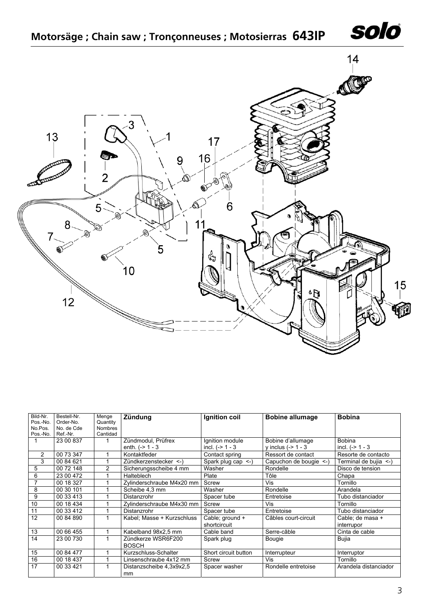



| Bild-Nr.<br>Pos.-No. | Bestell-Nr.<br>Order-No. | Menge<br>Quantity | Zündung                            | Ignition coil                   | <b>Bobine allumage</b> | <b>Bobina</b>                  |
|----------------------|--------------------------|-------------------|------------------------------------|---------------------------------|------------------------|--------------------------------|
| No.Pos.              | No. de Cde               | <b>Nombres</b>    |                                    |                                 |                        |                                |
| Pos.-No.             | Ref.-Nr.                 | Cantidad          |                                    |                                 |                        |                                |
|                      | 23 00 837                |                   | Zündmodul, Prüfrex                 | Ignition module                 | Bobine d'allumage      | <b>Bobina</b>                  |
|                      |                          |                   | enth. $(-> 1 - 3$                  | incl. $(-> 1 - 3$               | y inclus $(-> 1 - 3$   | incl. $(-> 1 - 3$              |
| 2                    | 00 73 347                |                   | Kontaktfeder                       | Contact spring                  | Ressort de contact     | Resorte de contacto            |
| 3                    | 00 84 621                |                   | Zündkerzenstecker <-)              | Spark plug cap $\le$ -)         | Capuchon de bougie <-) | Terminal de bujia <-)          |
| 5                    | 00 72 148                | $\overline{2}$    | Sicherungsscheibe 4 mm             | Washer                          | Rondelle               | Disco de tension               |
| 6                    | 23 00 472                |                   | Halteblech                         | Plate                           | Tôle                   | Chapa                          |
| 7                    | 00 18 327                |                   | Zylinderschraube M4x20 mm          | Screw                           | Vis                    | Tornillo                       |
| 8                    | 00 30 101                |                   | Scheibe 4.3 mm                     | Washer                          | Rondelle               | Arandela                       |
| 9                    | 00 33 413                |                   | Distanzrohr                        | Spacer tube                     | Entretoise             | Tubo distanciador              |
| 10                   | 00 18 434                |                   | Zylinderschraube M4x30 mm          | Screw                           | Vis                    | Tornillo                       |
| 11                   | 00 33 412                |                   | Distanzrohr                        | Spacer tube                     | Entretoise             | Tubo distanciador              |
| 12                   | 00 84 890                |                   | Kabel; Masse + Kurzschluss         | Cable; ground +<br>shortcircuit | Câbles court-circuit   | Cable; de masa +<br>interrupor |
| 13                   | 00 66 455                |                   | Kabelband 98x2,5 mm                | Cable band                      | Serre-câble            | Cinta de cable                 |
| 14                   | 23 00 730                |                   | Zündkerze WSR6F200<br><b>BOSCH</b> | Spark plug                      | <b>Bougie</b>          | <b>Bujia</b>                   |
| 15                   | 00 84 477                |                   | Kurzschluss-Schalter               | Short circuit button            | Interrupteur           | Interruptor                    |
| 16                   | 00 18 437                |                   | Linsenschraube 4x12 mm             | Screw                           | Vis                    | Tornillo                       |
| 17                   | 00 33 421                |                   | Distanzscheibe 4,3x9x2,5           | Spacer washer                   | Rondelle entretoise    | Arandela distanciador          |
|                      |                          |                   | mm                                 |                                 |                        |                                |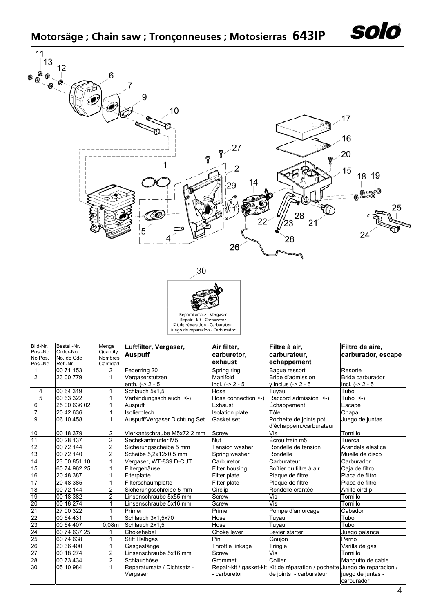





| Bild-Nr.<br>Pos.-No.<br>No.Pos.<br>Pos.-No. | Bestell-Nr.<br>Order-No.<br>No. de Cde<br>Ref.-Nr. | Menge<br>Quantity<br><b>Nombres</b><br>Cantidad | Luftfilter, Vergaser,<br><b>Auspuff</b> | Air filter,<br>carburetor,<br>exhaust | Filtre à air,<br>carburateur.<br>echappement                                                          | Filtro de aire,<br>carburador, escape |
|---------------------------------------------|----------------------------------------------------|-------------------------------------------------|-----------------------------------------|---------------------------------------|-------------------------------------------------------------------------------------------------------|---------------------------------------|
| 1                                           | 00 71 153                                          | $\overline{c}$                                  | Federring 20                            | Spring ring                           | Bague ressort                                                                                         | Resorte                               |
| $\overline{2}$                              | 23 00 779                                          | $\mathbf{1}$                                    | Vergaserstutzen<br>enth. $(-2 - 5)$     | Manifold<br>incl. $(-2 - 5)$          | Bride d'admission<br>y inclus (-> 2 - 5                                                               | Brida carburador<br>incl. $(-2 - 5)$  |
| 4                                           | 00 64 319                                          | 1                                               | Schlauch 5x1,5                          | Hose                                  | Tuvau                                                                                                 | Tubo                                  |
| $\overline{5}$                              | 60 63 322                                          | $\mathbf{1}$                                    | Verbindungsschlauch <- )                | Hose connection <- )                  | Raccord admission <-)                                                                                 | Tubo $\leq$ )                         |
| 6                                           | 25 00 636 02                                       | 1                                               | Auspuff                                 | Exhaust                               | Échappement                                                                                           | Escape                                |
| $\overline{7}$                              | 20 42 636                                          | 1                                               | Isolierblech                            | <b>Isolation plate</b>                | Tôle                                                                                                  | Chapa                                 |
| $\overline{9}$                              | 06 10 458                                          | $\overline{1}$                                  | Auspuff/Vergaser Dichtung Set           | Gasket set                            | Pochette de joints pot<br>d'échappem./carburateur                                                     | Juego de juntas                       |
| 10                                          | 00 18 379                                          | 2                                               | Vierkantschraube M5x72,2 mm             | Screw                                 | Vis                                                                                                   | Tornillo                              |
| 11                                          | 00 28 137                                          | 2                                               | Sechskantmutter M5                      | Nut                                   | Écrou frein m5                                                                                        | Tuerca                                |
| $\overline{12}$                             | 00 72 144                                          | 2                                               | Sicherungsscheibe 5 mm                  | Tension washer                        | Rondelle de tension                                                                                   | Arandela elastica                     |
| 13                                          | 00 72 140                                          | $\overline{2}$                                  | Scheibe 5,2x12x0,5 mm                   | Spring washer                         | Rondelle                                                                                              | Muelle de disco                       |
| 14                                          | 23 00 851 10                                       | $\mathbf{1}$                                    | Vergaser, WT-839 D-CUT                  | Carburetor                            | Carburateur                                                                                           | Carburador                            |
| 15                                          | 60 74 962 25                                       | 1                                               | Filtergehäuse                           | Filter housing                        | Boîtier du filtre à air                                                                               | Caja de filtro                        |
| 16                                          | 20 48 387                                          | 1                                               | Fiterplatte                             | Filter plate                          | Plaque de filtre                                                                                      | Placa de filtro                       |
| $\overline{17}$                             | 20 48 385                                          | 1                                               | Filterschaumplatte                      | Filter plate                          | Plaque de filtre                                                                                      | Placa de filtro                       |
| 18                                          | 00 72 144                                          | $\overline{c}$                                  | Sicherungsschreibe 5 mm                 | Circlip                               | Rondelle crantée                                                                                      | Anillo circlip                        |
| 19                                          | 00 18 382                                          | $\overline{c}$                                  | Linsenschraube 5x55 mm                  | Screw                                 | Vis                                                                                                   | Tornillo                              |
| 20                                          | 00 18 274                                          | 1                                               | Linsenschraube 5x16 mm                  | Screw                                 | Vis                                                                                                   | Tornillo                              |
| 21                                          | 27 00 322                                          | 1                                               | Primer                                  | Primer                                | Pompe d'amorcage                                                                                      | Cabador                               |
| 22                                          | 00 64 431                                          | 1                                               | Schlauch 3x1,5x70                       | Hose                                  | Tuyau                                                                                                 | Tubo                                  |
| 23                                          | 00 64 407                                          | 0,08m                                           | Schlauch 2x1.5                          | Hose                                  | Tuyau                                                                                                 | Tubo                                  |
| 24                                          | 60 74 637 25                                       | 1                                               | Chokehebel                              | Choke lever                           | Levier starter                                                                                        | Juego palanca                         |
| 25                                          | 60 74 638                                          | $\mathbf{1}$                                    | <b>Stift Halbgas</b>                    | Pin                                   | Goujon                                                                                                | Perno                                 |
| 26                                          | 20 36 400                                          | 1                                               | Gasgestänge                             | Throttle linkage                      | Tringle                                                                                               | Varilla de gas                        |
| $\overline{27}$                             | 00 18 274                                          | 2                                               | Linsenschraube 5x16 mm                  | Screw                                 | Vis                                                                                                   | Tornillo                              |
| 28                                          | 00 73 434                                          | 2                                               | Schlauchöse                             | Grommet                               | Collier                                                                                               | Manquito de cable                     |
| 30                                          | 05 10 984                                          | 1                                               | Reparatursatz / Dichtsatz -<br>Vergaser | carburetor                            | Repair-kit / gasket-kit Kit de réparation / pochette Juego de reparacion /<br>de joints - carburateur | juego de juntas -<br>carburador       |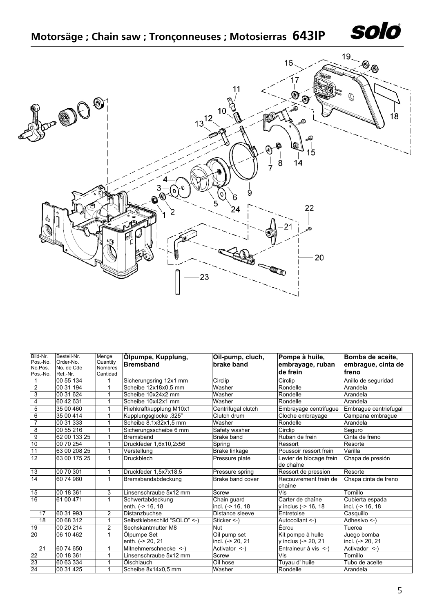|  |  |  |  | Motorsäge; Chain saw; Tronçonneuses; Motosierras 643IP |  |
|--|--|--|--|--------------------------------------------------------|--|
|--|--|--|--|--------------------------------------------------------|--|

| $\circledcirc$<br>$\bullet$ | 10 <sub>1</sub><br>$13^{12}$ | 16.<br>11<br>Q<br>a.<br>ூ                                              | 19 <sub>~</sub><br>$\circledcirc$<br>Q<br>18 |
|-----------------------------|------------------------------|------------------------------------------------------------------------|----------------------------------------------|
| Ğ                           | O<br>0<br>5<br>2             | Q<br>0<br>(9)<br>15<br>$\overline{14}$<br>8<br>7<br>9<br>6<br>22<br>24 |                                              |
| ۰η                          | 23                           | $-21$                                                                  | 20                                           |

| Bild-Nr.<br>Pos.-No.<br>No.Pos. | Bestell-Nr.<br>Order-No.<br>No. de Cde | Menge<br>Quantity<br><b>Nombres</b> | Ölpumpe, Kupplung,<br><b>Bremsband</b> | Oil-pump, cluch,<br>brake band   | Pompe à huile,<br>embrayage, ruban       | Bomba de aceite,<br>embrague, cinta de |
|---------------------------------|----------------------------------------|-------------------------------------|----------------------------------------|----------------------------------|------------------------------------------|----------------------------------------|
| Pos.-No.                        | Ref.-Nr.                               | Cantidad                            |                                        |                                  | de frein                                 | freno                                  |
|                                 | 00 55 134                              |                                     | Sicherungsring 12x1 mm                 | Circlip                          | Circlip                                  | Anillo de seguridad                    |
| 2                               | 00 31 194                              | 1                                   | Scheibe 12x18x0,5 mm                   | Washer                           | Rondelle                                 | Arandela                               |
| 3                               | 00 31 624                              |                                     | Scheibe 10x24x2 mm                     | Washer                           | Rondelle                                 | Arandela                               |
| 4                               | 60 42 631                              |                                     | Scheibe 10x42x1 mm                     | Washer                           | Rondelle                                 | Arandela                               |
| $\overline{5}$                  | 35 00 460                              | 1                                   | Fliehkraftkupplung M10x1               | Centrifugal clutch               | Embrayage centrifugue                    | Embrague centriefugal                  |
| $6\overline{6}$                 | 35 00 414                              |                                     | Kupplungsglocke .325"                  | Clutch drum                      | Cloche embrayage                         | Campana embrague                       |
| $\overline{7}$                  | 00 31 333                              |                                     | Scheibe 8,1x32x1,5 mm                  | Washer                           | Rondelle                                 | Arandela                               |
| 8                               | 00 55 216                              |                                     | Sicherungsscheibe 6 mm                 | Safety washer                    | Circlip                                  | Seauro                                 |
| $\overline{9}$                  | 62 00 133 25                           | 1                                   | Bremsband                              | Brake band                       | Ruban de frein                           | Cinta de freno                         |
| 10                              | 00 70 254                              |                                     | Druckfeder 1,6x10,2x56                 | Spring                           | Ressort                                  | Resorte                                |
| 11                              | 63 00 208 25                           | 1                                   | Verstellung                            | Brake linkage                    | Poussoir ressort frein                   | Varilla                                |
| 12                              | 63 00 175 25                           | $\mathbf{1}$                        | <b>Druckblech</b>                      | Pressure plate                   | Levier de blocage frein<br>de chaîne     | Chapa de presión                       |
| 13                              | 00 70 301                              | 1                                   | Druckfeder 1.5x7x18.5                  | Pressure spring                  | Ressort de pression                      | Resorte                                |
| 14                              | 60 74 960                              | $\mathbf{1}$                        | Bremsbandabdeckung                     | Brake band cover                 | Recouvrement frein de<br>chaîne          | Chapa cinta de freno                   |
| 15                              | 00 18 361                              | 3                                   | Linsenschraube 5x12 mm                 | Screw                            | Vis                                      | Tornillo                               |
| 16                              | 61 00 471                              | $\mathbf{1}$                        | Schwertabdeckung<br>enth. (-> 16, 18   | Chain guard<br>incl. (-> 16, 18  | Carter de chaîne<br>y inclus (-> 16, 18  | Cubierta espada<br>incl. (-> 16, 18    |
| 17                              | 60 31 993                              | 2                                   | Distanzbuchse                          | Distance sleeve                  | Entretoise                               | Casquillo                              |
| 18                              | 00 68 312                              | 1                                   | Selbstklebeschild "SOLO" <- )          | Sticker $\leq$ -)                | Autocollant <-)                          | Adhesivo <-)                           |
| 19                              | 00 20 214                              | $\overline{2}$                      | Sechskantmutter M8                     | Nut                              | Écrou                                    | Tuerca                                 |
| 20                              | 06 10 462                              | $\mathbf{1}$                        | Ölpumpe Set<br>enth. (-> 20, 21        | Oil pump set<br>incl. (-> 20, 21 | Kit pompe à hulle<br>y inclus (-> 20, 21 | Juego bomba<br>incl. (-> 20, 21        |
| 21                              | 60 74 650                              | 1                                   | Mitnehmerschnecke <- )                 | Activator <-)                    | Entraineur à vis <-                      | Activador <-)                          |
| 22                              | 00 18 361                              |                                     | Linsenschraube 5x12 mm                 | Screw                            | Vis                                      | Tornillo                               |
| 23                              | 60 63 334                              |                                     | Ölschlauch                             | Oil hose                         | Tuyau d' huile                           | Tubo de aceite                         |
| 24                              | 00 31 425                              |                                     | Scheibe 8x14x0,5 mm                    | Washer                           | Rondelle                                 | Arandela                               |

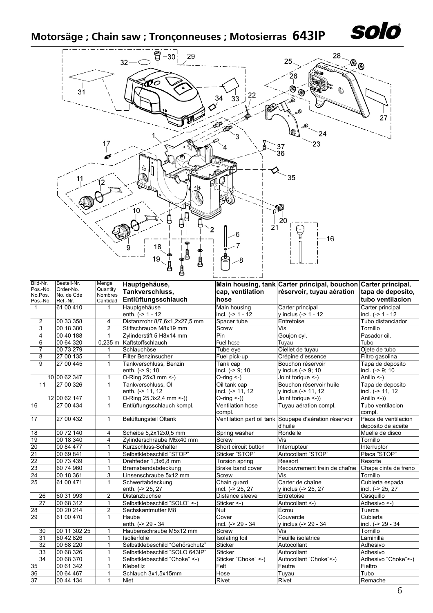## **Motorsäge ; Chain saw ; Tronçonneuses ; Motosierras 643IP**



| Bild-Nr.            | Bestell-Nr.            | Menge               | Hauptgehäuse,                   |                      | Main housing, tank Carter principal, bouchon Carter principal, |                      |
|---------------------|------------------------|---------------------|---------------------------------|----------------------|----------------------------------------------------------------|----------------------|
| Pos.-No.            | Order-No.              | Quantity            | Tankverschluss,                 | cap, ventilation     | réservoir, tuyau aération   tapa de deposito,                  |                      |
| No.Pos.<br>Pos.-No. | No. de Cde<br>Ref.-Nr. | Nombres<br>Cantidad | Entlüftungsschlauch             | hose                 |                                                                | tubo ventilacion     |
| $\mathbf{1}$        | 61 00 410              | $\mathbf{1}$        | Hauptgehäuse                    | Main housing         | Carter principal                                               | Carter principal     |
|                     |                        |                     | enth. $(-2)$ 1 - 12             | incl. $(-> 1 - 12)$  | y inclus $(-> 1 - 12)$                                         | incl. $(-> 1 - 12)$  |
| $\overline{2}$      | 00 33 358              | 4                   | Distanzrohr 8/7,6x1,2x27,5 mm   | Spacer tube          | Entretoise                                                     | Tubo distanciador    |
| 3                   | 00 18 380              | $\overline{2}$      | Stiftschraube M8x19 mm          | Screw                | Vis                                                            | Tornillo             |
| 4                   | 00 40 188              | $\mathbf{1}$        | Zylinderstift 5 H8x14 mm        | Pin                  | Goujon cyl.                                                    | Pasador cil.         |
| 6                   | 00 64 320              | $0,235$ m           | Kaftstoffschlauch               | Fuel hose            | Tuyau                                                          | Tubo                 |
| $\overline{7}$      | 00 73 279              | 1                   | Schlauchöse                     | Tube eve             | Oiellet de tuyau                                               | Ojete de tubo        |
| 8                   | 27 00 135              | $\mathbf{1}$        | Filter Benzinsucher             | Fuel pick-up         | Crépine d'essence                                              | Filtro gasolina      |
| $\overline{9}$      | 27 00 445              | $\mathbf{1}$        | Tankverschluss, Benzin          | Tank cap             | Bouchon réservoir                                              | Tapa de deposito     |
|                     |                        |                     | enth. (-> 9; 10                 | incl. $(-59; 10$     | y inclus (-> 9; 10                                             | incl. (-> 9; 10      |
|                     | 10 00 62 347           | 1                   | O-Ring 25x3 mm <- )             | $O$ -ring $\leq$ -)  | Joint torique <-)                                              | Anillo $\leq$ -)     |
| 11                  | 27 00 326              | $\mathbf{1}$        | Tankverschluss, Öl              | Oil tank cap         | Bouchon réservoir huile                                        | Tapa de deposito     |
|                     |                        |                     | enth. (-> 11, 12                | incl. (-> 11, 12     | y inclus (-> 11, 12                                            | incl. (-> 11, 12     |
|                     | 12 00 62 147           | 1                   | O-Ring 25,3x2,4 mm <- ))        | $O\text{-ring}$ <-)) | Joint torique <-))                                             | Anillo $\leq$ -))    |
| 16                  | 27 00 434              | $\mathbf{1}$        | Entlüftungsschlauch kompl.      | Ventilation hose     | Tuyau aération compl.                                          | Tubo ventilacion     |
|                     |                        |                     |                                 | compl.               |                                                                | compl.               |
| 17                  | 27 00 432              | $\mathbf{1}$        | Belüftungsteil Öltank           |                      | Ventilation part oil tank Soupape d'aération réservoir         | Pieza de ventilacion |
|                     |                        |                     |                                 |                      | d'huile                                                        | deposito de aceite   |
| 18                  | 00 72 140              | 4                   | Scheibe 5,2x12x0,5 mm           | Spring washer        | Rondelle                                                       | Muelle de disco      |
| 19                  | 00 18 340              | 4                   | Zylinderschraube M5x40 mm       | Screw                | Vis                                                            | Tornillo             |
| 20                  | 00 84 477              | 1                   | Kurzschluss-Schalter            | Short circuit button | Interrupteur                                                   | Interruptor          |
| 21                  | 00 69 841              | 1                   | Selbstklebeschild "STOP"        | Sticker "STOP"       | Autocollant "STOP"                                             | Placa "STOP"         |
| 22                  | 00 73 439              | $\mathbf{1}$        | Drehfeder 1,3x6,8 mm            | Torsion spring       | Ressort                                                        | Resorte              |
| 23                  | 60 74 960              | 1                   | Bremsbandabdeckung              | Brake band cover     | Recouvrement frein de chaîne                                   | Chapa cinta de freno |
| 24                  | 00 18 361              | 3                   | Linsenschraube 5x12 mm          | Screw                | Vis                                                            | Tornillo             |
| 25                  | 61 00 471              | $\mathbf{1}$        | Schwertabdeckung                | Chain guard          | Carter de chaîne                                               | Cubierta espada      |
|                     |                        |                     | enth. (-> 25, 27                | incl. (-> 25, 27     | y inclus (-> 25, 27                                            | incl. (-> 25, 27     |
| 26                  | 60 31 993              | 2                   | Distanzbuchse                   | Distance sleeve      | Entretoise                                                     | Casquillo            |
| 27                  | 00 68 312              | $\mathbf{1}$        | Selbstklebeschild "SOLO" <- )   | Sticker <- $)$       | Autocollant <-)                                                | Adhesivo <-)         |
| $\frac{28}{29}$     | 00 20 214              | $\overline{2}$      | Sechskantmutter M8              | Nut                  | Écrou                                                          | Tuerca               |
|                     | 61 00 470              | $\mathbf{1}$        | Haube                           | Cover                | Couvercle                                                      | Cubierta             |
|                     |                        |                     | enth. (-> 29 - 34               | incl. (-> 29 - 34    | y inclus (-> 29 - 34                                           | incl. (-> 29 - 34    |
| 30                  | 00 11 302 25           | $\mathbf{1}$        | Haubenschraube M5x12 mm         | Screw                | Vis                                                            | Tornillo             |
| $\overline{31}$     | 60 42 826              | $\mathbf{1}$        | <b>Isolierfolie</b>             | Isolating foil       | Feuille isolatrice                                             | Laminilla            |
| $\overline{32}$     | 00 68 220              | 1                   | Selbstklebeschild "Gehörschutz" | <b>Sticker</b>       | Autocollant                                                    | Adhesivo             |
| 33                  | 00 68 326              | 1                   | Selbstklebeschild "SOLO 643IP"  | <b>Sticker</b>       | Autocollant                                                    | Adhesivo             |
| 34                  | 00 68 370              | $\mathbf{1}$        | Selbstklebeschild "Choke" <- )  | Sticker "Choke" <- ) | Autocollant "Choke"<-)                                         | Adhesivo "Choke"<-)  |
| 35                  | 00 61 342              | $\mathbf{1}$        | Klebefilz                       | Felt                 | Feutre                                                         | Fieltro              |
| 36                  | 00 64 467              | $\mathbf{1}$        | Schlauch 3x1,5x15mm             | Hose                 | Tuyau                                                          | Tubo                 |
| 37                  | 00 44 134              | $\overline{1}$      | <b>Niet</b>                     | Rivet                | Rivet                                                          | Remache              |

solo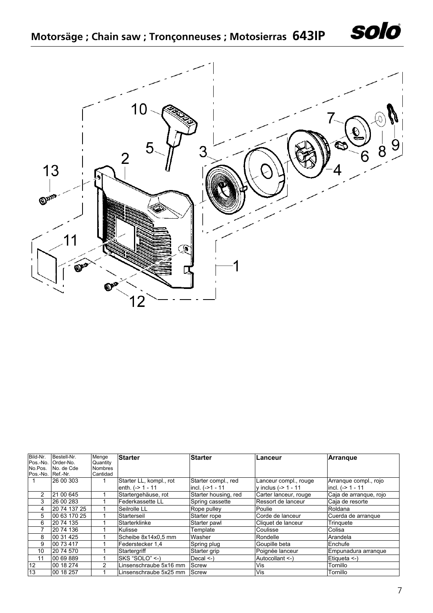



| Bild-Nr. | Bestell-Nr.  | Menge          | <b>Starter</b>          | <b>Starter</b>       | Lanceur                | <b>Arrangue</b>        |
|----------|--------------|----------------|-------------------------|----------------------|------------------------|------------------------|
| Pos.-No. | Order-No.    | Quantity       |                         |                      |                        |                        |
| No.Pos.  | No. de Cde   | <b>Nombres</b> |                         |                      |                        |                        |
| Pos.-No. | Ref.-Nr.     | Cantidad       |                         |                      |                        |                        |
|          | 26 00 303    |                | Starter LL, kompl., rot | Starter compl., red  | Lanceur compl., rouge  | Arrangue compl., rojo  |
|          |              |                | enth. $(-2)$ 1 - 11     | incl. (->1 - 11      | y inclus $(-2 1 - 11)$ | incl. $(-> 1 - 11)$    |
| 2        | 21 00 645    |                | Startergehäuse, rot     | Starter housing, red | Carter lanceur, rouge  | Caja de arranque, rojo |
| 3        | 26 00 283    |                | Federkassette LL        | Spring cassette      | Ressort de lanceur     | Caja de resorte        |
| 4        | 20 74 137 25 |                | Seilrolle LL            | Rope pulley          | Poulie                 | Roldana                |
| 5        | 00 63 170 25 |                | Starterseil             | Starter rope         | Corde de lanceur       | Cuerda de arrangue     |
| 6        | 20 74 135    |                | Starterklinke           | Starter pawl         | Cliquet de lanceur     | Tringuete              |
|          | 20 74 136    |                | Kulisse                 | Template             | Coulisse               | Colisa                 |
| 8        | 00 31 4 25   |                | Scheibe 8x14x0.5 mm     | Washer               | Rondelle               | Arandela               |
| 9        | 00 73 417    |                | Federstecker 1.4        | Spring plug          | Goupille beta          | Enchufe                |
| 10       | 20 74 570    |                | Startergriff            | Starter grip         | Poignée lanceur        | Empunadura arrangue    |
| 11       | 00 69 889    |                | SKS "SOLO" <- )         | Decal $\leq$ .)      | Autocollant <-)        | Etiqueta <-)           |
| 12       | 00 18 274    | 2              | Linsenschraube 5x16 mm  | Screw                | Vis                    | Tornillo               |
| 13       | 00 18 257    |                | Linsenschraube 5x25 mm  | Screw                | Vis                    | Tornillo               |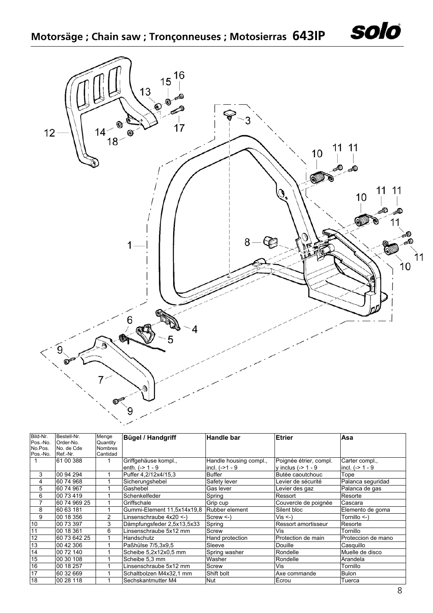**Motorsäge ; Chain saw ; Tronçonneuses ; Motosierras 643IP**



| Bild-Nr. | Bestell-Nr.  | Menge          | <b>Bügel / Handgriff</b>   | <b>Handle bar</b>      | <b>Etrier</b>          | Asa                |
|----------|--------------|----------------|----------------------------|------------------------|------------------------|--------------------|
| Pos.-No. | Order-No.    | Quantity       |                            |                        |                        |                    |
| No.Pos.  | No. de Cde   | <b>Nombres</b> |                            |                        |                        |                    |
| Pos.-No. | Ref.-Nr.     | Cantidad       |                            |                        |                        |                    |
|          | 61 00 388    |                | Griffgehäuse kompl.,       | Handle housing compl., | Poignée étrier, compl. | Carter compl.,     |
|          |              |                | enth. $(-> 1 - 9$          | incl. $(-21 - 9)$      | y inclus $(-> 1 - 9$   | incl. $(-> 1 - 9)$ |
| 3        | 00 94 294    |                | Puffer 4.2/12x4/15.3       | Buffer                 | Butée caoutchouc       | Tope               |
| 4        | 60 74 968    |                | Sicherungshebel            | Safety lever           | Levier de sécurité     | Palanca seguridad  |
| 5        | 60 74 967    |                | Gashebel                   | Gas lever              | Levier des gaz         | Palanca de gas     |
| 6        | 00 73 419    |                | Schenkelfeder              | Spring                 | Ressort                | Resorte            |
|          | 60 74 969 25 |                | Griffschale                | Grip cup               | Couvercle de poignée   | Cascara            |
| 8        | 60 63 181    |                | Gummi-Element 11,5x14x19,8 | Rubber element         | Silent bloc            | Elemento de goma   |
| 9        | 00 18 356    | $\overline{2}$ | Linsenschraube 4x20 <-)    | $Screw < -$            | $Vis < -$              | Tornillo <-)       |
| 10       | 00 73 397    | 3              | Dämpfungsfeder 2,5x13,5x33 | Spring                 | Ressort amortisseur    | Resorte            |
| 11       | 00 18 361    | 6              | Linsenschraube 5x12 mm     | Screw                  | Vis                    | Tornillo           |
| 12       | 60 73 642 25 |                | Handschutz                 | Hand protection        | Protection de main     | Proteccion de mano |
| 13       | 00 42 306    |                | Paßhülse 7/5,3x9,5         | Sleeve                 | Douille                | Casquillo          |
| 14       | 00 72 140    |                | Scheibe 5,2x12x0,5 mm      | Spring washer          | Rondelle               | Muelle de disco    |
| 15       | 00 30 108    |                | Scheibe 5,3 mm             | Washer                 | Rondelle               | Arandela           |
| 16       | 00 18 257    |                | Linsenschraube 5x12 mm     | Screw                  | Vis                    | Tornillo           |
| 17       | 60 32 669    |                | Schaltbolzen M4x32,1 mm    | Shift bolt             | Axe commande           | <b>Bulon</b>       |
| 18       | 00 28 118    |                | Sechskantmutter M4         | <b>Nut</b>             | IÉcrou                 | Tuerca             |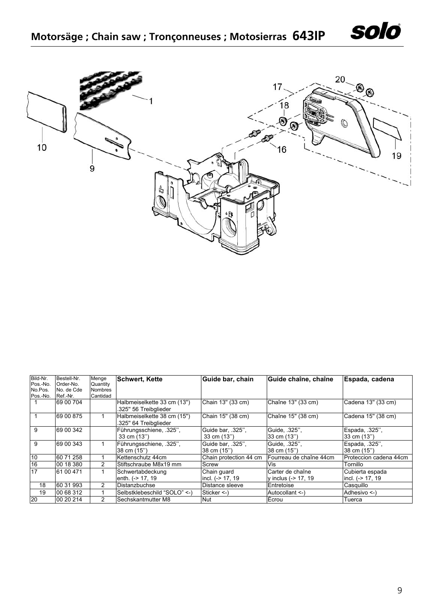



| Bild-Nr. | Bestell-Nr. | Menge          | <b>Schwert, Kette</b>        | Guide bar, chain       | Guide chaîne, chaîne    | Espada, cadena         |
|----------|-------------|----------------|------------------------------|------------------------|-------------------------|------------------------|
| Pos.-No. | Order-No.   | Quantity       |                              |                        |                         |                        |
| No.Pos.  | No. de Cde  | <b>Nombres</b> |                              |                        |                         |                        |
| Pos.-No. | Ref.-Nr.    | Cantidad       |                              |                        |                         |                        |
|          | 69 00 704   |                | Halbmeiselkette 33 cm (13")  | Chain 13" (33 cm)      | Chaîne 13" (33 cm)      | Cadena 13" (33 cm)     |
|          |             |                | .325" 56 Treibalieder        |                        |                         |                        |
|          | 69 00 875   |                | Halbmeiselkette 38 cm (15")  | Chain 15" (38 cm)      | Chaîne 15" (38 cm)      | Cadena 15" (38 cm)     |
|          |             |                | .325" 64 Treibglieder        |                        |                         |                        |
| 9        | 69 00 342   |                | Führungsschiene, 325",       | Guide bar, .325",      | Guide, .325",           | Espada, 325",          |
|          |             |                | 33 cm (13")                  | 33 cm (13")            | 33 cm (13")             | 33 cm (13")            |
| 9        | 69 00 343   |                | Führungsschiene, 325",       | Guide bar, .325",      | Guide, 325",            | Espada, .325",         |
|          |             |                | 38 cm (15")                  | 38 cm (15")            | 38 cm (15")             | 38 cm (15")            |
| 10       | 60 71 258   |                | Kettenschutz 44cm            | Chain protection 44 cm | Fourreau de chaîne 44cm | Proteccion cadena 44cm |
| 16       | 00 18 380   | 2              | Stiftschraube M8x19 mm       | Screw                  | Vis                     | Tornillo               |
| 17       | 61 00 471   |                | Schwertabdeckung             | Chain guard            | Carter de chaîne        | Cubierta espada        |
|          |             |                | enth. (-> 17, 19             | incl. (-> 17, 19       | v inclus (-> 17, 19     | lincl. (-> 17, 19      |
| 18       | 60 31 993   | 2              | <b>IDistanzbuchse</b>        | Distance sleeve        | Entretoise              | Casquillo              |
| 19       | 00 68 312   |                | Selbstklebeschild "SOLO" <-) | Sticker $\leq$         | Autocollant <-)         | Adhesivo $\leq$ )      |
| 20       | 00 20 214   | 2              | <b>Sechskantmutter M8</b>    | Nut                    | Ecrou                   | Tuerca                 |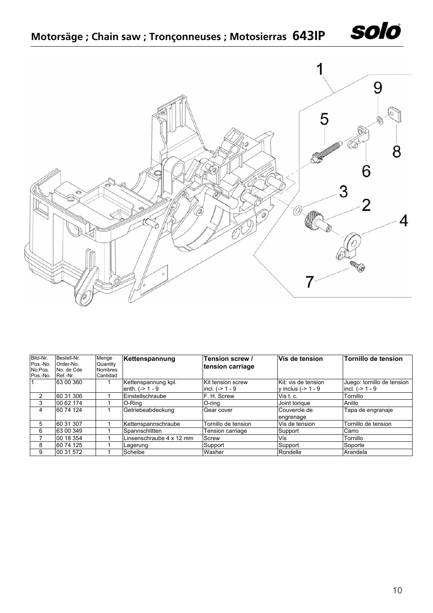

|  |  | Motorsäge; Chain saw; Tronçonneuses; Motosierras 643IP |  |
|--|--|--------------------------------------------------------|--|
|--|--|--------------------------------------------------------|--|



| Bild-Nr.<br>Pos.-No.<br>No.Pos.<br>Pos.-No. | Bestell-Nr.<br>Order-No.<br>No. de Cde<br>Ref.-Nr. | Menge<br>Quantity<br><b>Nombres</b><br>Cantidad | Kettenspannung                            | Tension screw /<br>tension carriage    | lVis de tension                             | Tornillo de tension                             |
|---------------------------------------------|----------------------------------------------------|-------------------------------------------------|-------------------------------------------|----------------------------------------|---------------------------------------------|-------------------------------------------------|
|                                             | 63 00 360                                          |                                                 | Kettenspannung kpl.<br>enth. $(-> 1 - 9)$ | Kit tension screw<br>incl. $(->1 - 9)$ | Kit: vis de tension<br>y inclus $(-> 1 - 9$ | Juego: tornillo de tension<br>incl. $(-> 1 - 9$ |
|                                             | 60 31 306                                          |                                                 | Einstellschraube                          | F. H. Screw                            | Vis t. c.                                   | Tornillo                                        |
| 3                                           | 00 62 174                                          |                                                 | O-Rina                                    | O-rina                                 | Joint torique                               | Anillo                                          |
| 4                                           | 60 74 124                                          |                                                 | Getriebeabdeckung                         | Gear cover                             | Couvercle de<br>engrenage                   | Tapa de engranaje                               |
| 5                                           | 60 31 307                                          |                                                 | Kettenspannschraube                       | Tornillo de tension                    | Vis de tension                              | Tornillo de tension                             |
| 6                                           | 63 00 349                                          |                                                 | Spannschlitten                            | Tension carriage                       | Support                                     | Carro                                           |
|                                             | 00 18 354                                          |                                                 | Linsenschraube 4 x 12 mm                  | Screw                                  | Vis                                         | Tornillo                                        |
| 8                                           | 60 74 125                                          |                                                 | Lagerung                                  | Support                                | Support                                     | Soporte                                         |
| 9                                           | 00 31 572                                          |                                                 | Scheibe                                   | Washer                                 | Rondelle                                    | Arandela                                        |